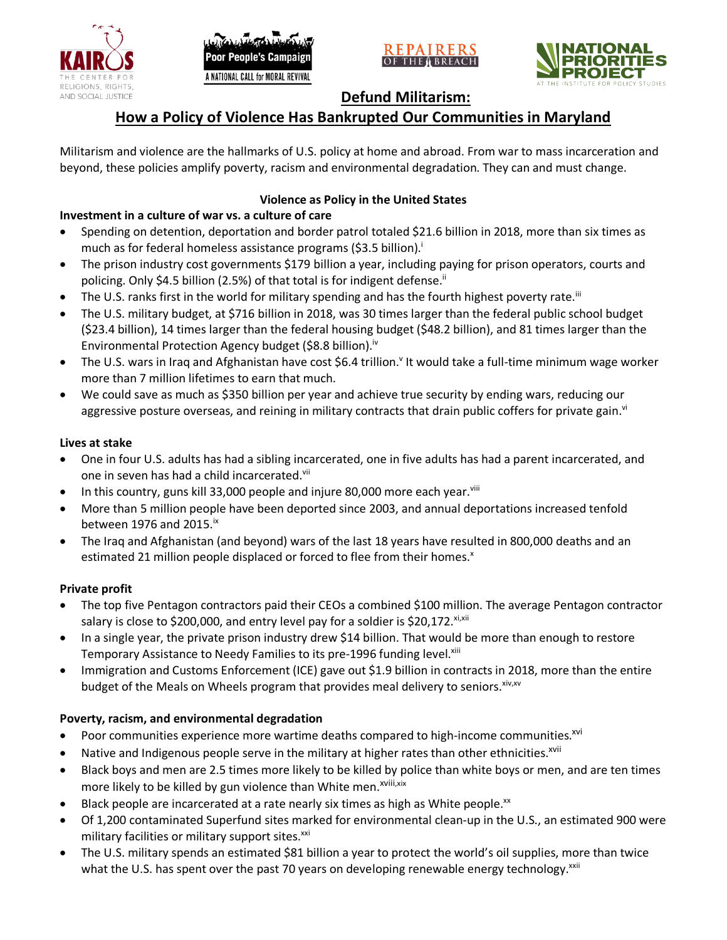

oor People's Campaign A NATIONAL CALL for MORAL REVIVAL





**Defund Militarism:**

# **How a Policy of Violence Has Bankrupted Our Communities in Maryland**

Militarism and violence are the hallmarks of U.S. policy at home and abroad. From war to mass incarceration and beyond, these policies amplify poverty, racism and environmental degradation. They can and must change.

## **Violence as Policy in the United States**

## **Investment in a culture of war vs. a culture of care**

- Spending on detention, deportation and border patrol totaled \$21.6 billion in 2018, more than six times as much as for federal homeless assistance programs (\$3.5 billion).<sup>i</sup>
- The prison industry cost governments \$179 billion a year, including paying for prison operators, courts and policing. Only \$4.5 billion (2.5%) of that total is for indigent defense.<sup>ii</sup>
- The U.S. ranks first in the world for military spending and has the fourth highest poverty rate.<sup>iii</sup>
- The U.S. military budget, at \$716 billion in 2018, was 30 times larger than the federal public school budget (\$23.4 billion), 14 times larger than the federal housing budget (\$48.2 billion), and 81 times larger than the Environmental Protection Agency budget (\$8.8 billion).<sup>iv</sup>
- The U.S. wars in Iraq and Afghanistan have cost \$6.4 trillion.<sup>v</sup> It would take a full-time minimum wage worker more than 7 million lifetimes to earn that much.
- We could save as much as \$350 billion per year and achieve true security by ending wars, reducing our aggressive posture overseas, and reining in military contracts that drain public coffers for private gain.<sup>vi</sup>

### **Lives at stake**

- One in four U.S. adults has had a sibling incarcerated, one in five adults has had a parent incarcerated, and one in seven has had a child incarcerated.vii
- In this country, guns kill 33,000 people and injure 80,000 more each year. $v_{\text{lin}}$
- More than 5 million people have been deported since 2003, and annual deportations increased tenfold between 1976 and 2015. $\mathrm{i}$ <sup>x</sup>
- The Iraq and Afghanistan (and beyond) wars of the last 18 years have resulted in 800,000 deaths and an estimated 21 million people displaced or forced to flee from their homes.<sup>x</sup>

### **Private profit**

- The top five Pentagon contractors paid their CEOs a combined \$100 million. The average Pentagon contractor salary is close to \$200,000, and entry level pay for a soldier is \$20,172. xi,xii
- In a single year, the private prison industry drew \$14 billion. That would be more than enough to restore Temporary Assistance to Needy Families to its pre-1996 funding level.<sup>xiii</sup>
- Immigration and Customs Enforcement (ICE) gave out \$1.9 billion in contracts in 2018, more than the entire budget of the Meals on Wheels program that provides meal delivery to seniors. Xiv, XV

### **Poverty, racism, and environmental degradation**

- Poor communities experience more wartime deaths compared to high-income communities.<sup>xvi</sup>
- Native and Indigenous people serve in the military at higher rates than other ethnicities.<sup>xvii</sup>
- Black boys and men are 2.5 times more likely to be killed by police than white boys or men, and are ten times more likely to be killed by gun violence than White men.<sup>xviii,xix</sup>
- Black people are incarcerated at a rate nearly six times as high as White people.<sup>xx</sup>
- Of 1,200 contaminated Superfund sites marked for environmental clean-up in the U.S., an estimated 900 were military facilities or military support sites.<sup>xxi</sup>
- The U.S. military spends an estimated \$81 billion a year to protect the world's oil supplies, more than twice what the U.S. has spent over the past 70 years on developing renewable energy technology.<sup>xxii</sup>